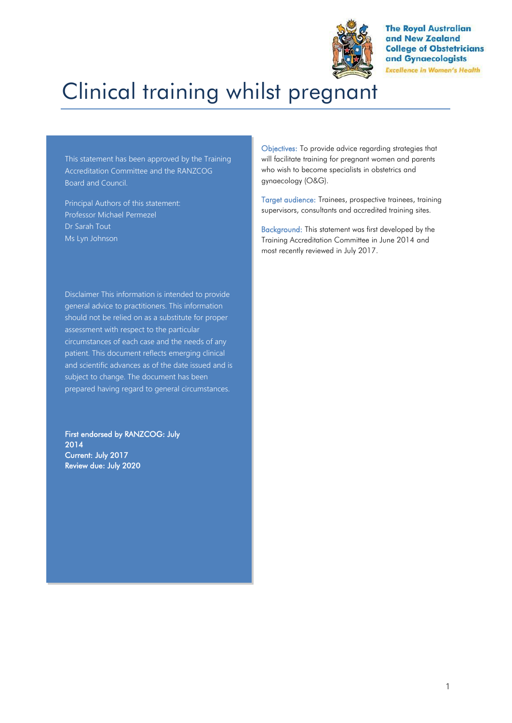

**The Royal Australian** and New Zealand **College of Obstetricians** and Gynaecologists **Excellence in Women's Health** 

# Clinical training whilst pregnant

This statement has been approved by the Training Accreditation Committee and the RANZCOG Board and Council.

Principal Authors of this statement: Professor Michael Permezel Dr Sarah Tout Ms Lyn Johnson

Disclaimer This information is intended to provide general advice to practitioners. This information should not be relied on as a substitute for proper assessment with respect to the particular circumstances of each case and the needs of any patient. This document reflects emerging clinical and scientific advances as of the date issued and is subject to change. The document has been prepared having regard to general circumstances.

First endorsed by RANZCOG: July 2014 Current: July 2017 Review due: July 2020

Objectives: To provide advice regarding strategies that will facilitate training for pregnant women and parents who wish to become specialists in obstetrics and gynaecology (O&G).

Target audience: Trainees, prospective trainees, training supervisors, consultants and accredited training sites.

Background: This statement was first developed by the Training Accreditation Committee in June 2014 and most recently reviewed in July 2017.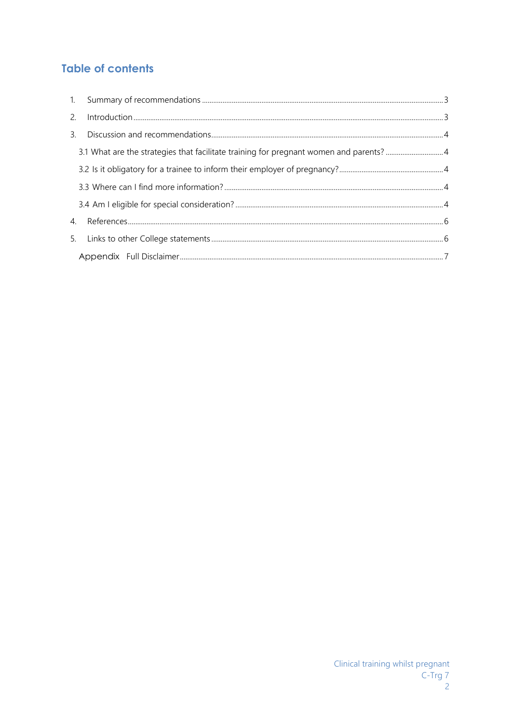## **Table of contents**

| 2.            | $\label{eq:1} \mbox{Introduction} \,\, \ldots \,\, \ldots \,\, \ldots \,\, \ldots \,\, \ldots \,\, \ldots \,\, \ldots \,\, \ldots \,\, \ldots \,\, \ldots \,\, \ldots \,\, \ldots \,\, \ldots \,\, \ldots \,\, \ldots \,\, \ldots \,\, \ldots \,\, \ldots \,\, \ldots \,\, \ldots \,\, \ldots \,\, \ldots \,\, \ldots \,\, \ldots \,\, \ldots \,\, \ldots \,\, \ldots \,\, \ldots \,\, \ldots \,\, \ldots \,\, \ldots \,\, \ldots \,\, \ldots \,\, \ldots \,\,$ |  |
|---------------|-----------------------------------------------------------------------------------------------------------------------------------------------------------------------------------------------------------------------------------------------------------------------------------------------------------------------------------------------------------------------------------------------------------------------------------------------------------------|--|
| $\mathcal{E}$ |                                                                                                                                                                                                                                                                                                                                                                                                                                                                 |  |
|               |                                                                                                                                                                                                                                                                                                                                                                                                                                                                 |  |
|               |                                                                                                                                                                                                                                                                                                                                                                                                                                                                 |  |
|               |                                                                                                                                                                                                                                                                                                                                                                                                                                                                 |  |
|               |                                                                                                                                                                                                                                                                                                                                                                                                                                                                 |  |
|               |                                                                                                                                                                                                                                                                                                                                                                                                                                                                 |  |
| 5.            |                                                                                                                                                                                                                                                                                                                                                                                                                                                                 |  |
|               |                                                                                                                                                                                                                                                                                                                                                                                                                                                                 |  |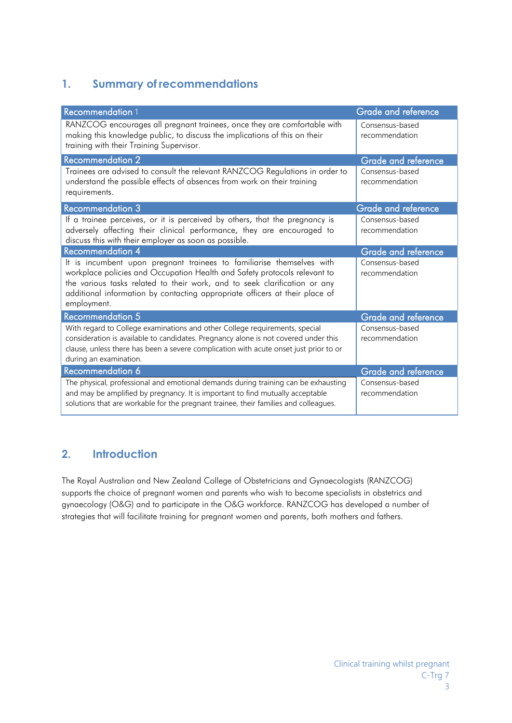## <span id="page-2-0"></span>**1. Summary of recommendations**

| <b>Recommendation 1</b>                                                                                                                                                                                                                                                                                                       | Grade and reference               |  |
|-------------------------------------------------------------------------------------------------------------------------------------------------------------------------------------------------------------------------------------------------------------------------------------------------------------------------------|-----------------------------------|--|
| RANZCOG encourages all pregnant trainees, once they are comfortable with<br>making this knowledge public, to discuss the implications of this on their<br>training with their Training Supervisor.                                                                                                                            | Consensus-based<br>recommendation |  |
| <b>Recommendation 2</b><br>Grade and reference                                                                                                                                                                                                                                                                                |                                   |  |
| Trainees are advised to consult the relevant RANZCOG Regulations in order to<br>understand the possible effects of absences from work on their training<br>requirements.                                                                                                                                                      | Consensus-based<br>recommendation |  |
| <b>Recommendation 3</b>                                                                                                                                                                                                                                                                                                       | Grade and reference               |  |
| If a trainee perceives, or it is perceived by others, that the pregnancy is<br>adversely affecting their clinical performance, they are encouraged to<br>discuss this with their employer as soon as possible.                                                                                                                | Consensus-based<br>recommendation |  |
| <b>Recommendation 4</b>                                                                                                                                                                                                                                                                                                       | <b>Grade and reference</b>        |  |
| It is incumbent upon pregnant trainees to familiarise themselves with<br>workplace policies and Occupation Health and Safety protocols relevant to<br>the various tasks related to their work, and to seek clarification or any<br>additional information by contacting appropriate officers at their place of<br>employment. | Consensus-based<br>recommendation |  |
| <b>Recommendation 5</b>                                                                                                                                                                                                                                                                                                       | <b>Grade and reference</b>        |  |
| With regard to College examinations and other College requirements, special<br>consideration is available to candidates. Pregnancy alone is not covered under this<br>clause, unless there has been a severe complication with acute onset just prior to or<br>during an examination.                                         | Consensus-based<br>recommendation |  |
| Recommendation 6                                                                                                                                                                                                                                                                                                              | Grade and reference               |  |
| The physical, professional and emotional demands during training can be exhausting<br>and may be amplified by pregnancy. It is important to find mutually acceptable<br>solutions that are workable for the pregnant trainee, their families and colleagues.                                                                  | Consensus-based<br>recommendation |  |

## <span id="page-2-1"></span>**2. Introduction**

The Royal Australian and New Zealand College of Obstetricians and Gynaecologists (RANZCOG) supports the choice of pregnant women and parents who wish to become specialists in obstetrics and gynaecology (O&G) and to participate in the O&G workforce. RANZCOG has developed a number of strategies that will facilitate training for pregnant women and parents, both mothers and fathers.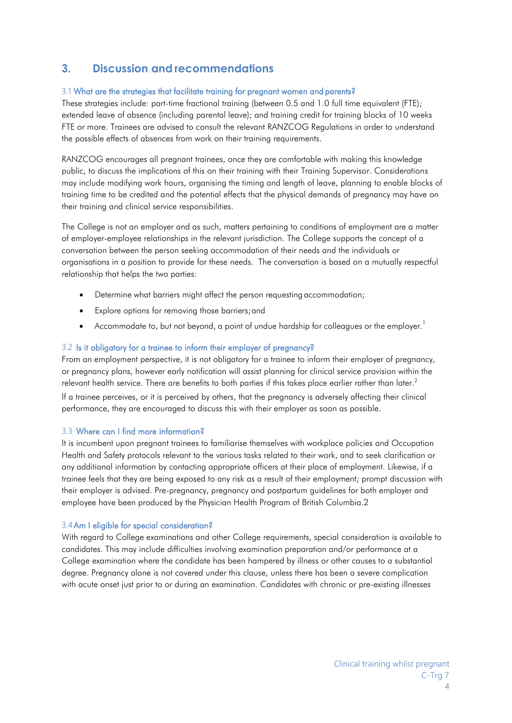## <span id="page-3-0"></span>**3. Discussion and recommendations**

#### 3.1 What are the strategies that facilitate training for pregnant women and parents?

These strategies include: part-time fractional training (between 0.5 and 1.0 full time equivalent (FTE); extended leave of absence (including parental leave); and training credit for training blocks of 10 weeks FTE or more. Trainees are advised to consult the relevant RANZCOG Regulations in order to understand the possible effects of absences from work on their training requirements.

RANZCOG encourages all pregnant trainees, once they are comfortable with making this knowledge public, to discuss the implications of this on their training with their Training Supervisor. Considerations may include modifying work hours, organising the timing and length of leave, planning to enable blocks of training time to be credited and the potential effects that the physical demands of pregnancy may have on their training and clinical service responsibilities.

The College is not an employer and as such, matters pertaining to conditions of employment are a matter of employer-employee relationships in the relevant jurisdiction. The College supports the concept of a conversation between the person seeking accommodation of their needs and the individuals or organisations in a position to provide for these needs. The conversation is based on a mutually respectful relationship that helps the two parties:

- Determine what barriers might affect the person requesting accommodation;
- Explore options for removing those barriers;and
- <span id="page-3-1"></span>• Accommodate to, but not beyond, a point of undue hardship for colleagues or the employer.<sup>1</sup>

#### 3.2 Is it obligatory for a trainee to inform their employer of pregnancy?

From an employment perspective, it is not obligatory for a trainee to inform their employer of pregnancy, or pregnancy plans, however early notification will assist planning for clinical service provision within the relevant health service. There are benefits to both parties if this takes place earlier rather than later.<sup>2</sup> If a trainee perceives, or it is perceived by others, that the pregnancy is adversely affecting their clinical performance, they are encouraged to discuss this with their employer as soon as possible.

#### <span id="page-3-2"></span>3.3 Where can I find more information?

It is incumbent upon pregnant trainees to familiarise themselves with workplace policies and Occupation Health and Safety protocols relevant to the various tasks related to their work, and to seek clarification or any additional information by contacting appropriate officers at their place of employment. Likewise, if a trainee feels that they are being exposed to any risk as a result of their employment; prompt discussion with their employer is advised. Pre-pregnancy, pregnancy and postpartum guidelines for both employer and employee have been produced by the Physician Health Program of British Columbia.2

#### <span id="page-3-3"></span>3.4Am I eligible for special consideration?

With regard to College examinations and other College requirements, special consideration is available to candidates. This may include difficulties involving examination preparation and/or performance at a College examination where the candidate has been hampered by illness or other causes to a substantial degree. Pregnancy alone is not covered under this clause, unless there has been a severe complication with acute onset just prior to or during an examination. Candidates with chronic or pre-existing illnesses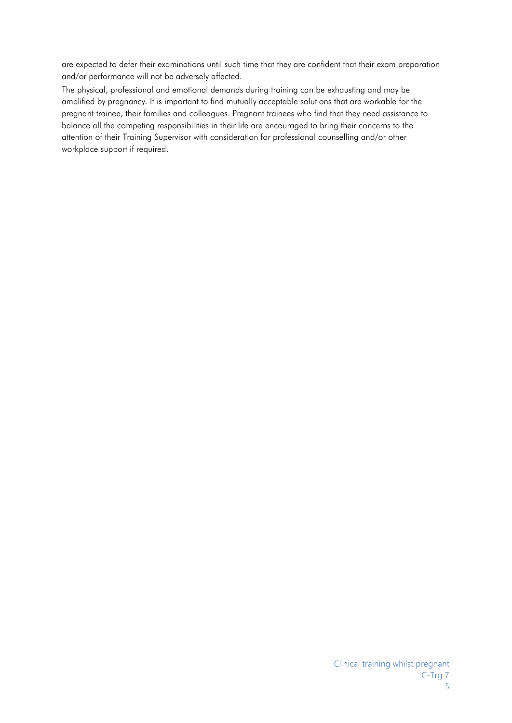are expected to defer their examinations until such time that they are confident that their exam preparation and/or performance will not be adversely affected.

The physical, professional and emotional demands during training can be exhausting and may be amplified by pregnancy. It is important to find mutually acceptable solutions that are workable for the pregnant trainee, their families and colleagues. Pregnant trainees who find that they need assistance to balance all the competing responsibilities in their life are encouraged to bring their concerns to the attention of their Training Supervisor with consideration for professional counselling and/or other workplace support if required.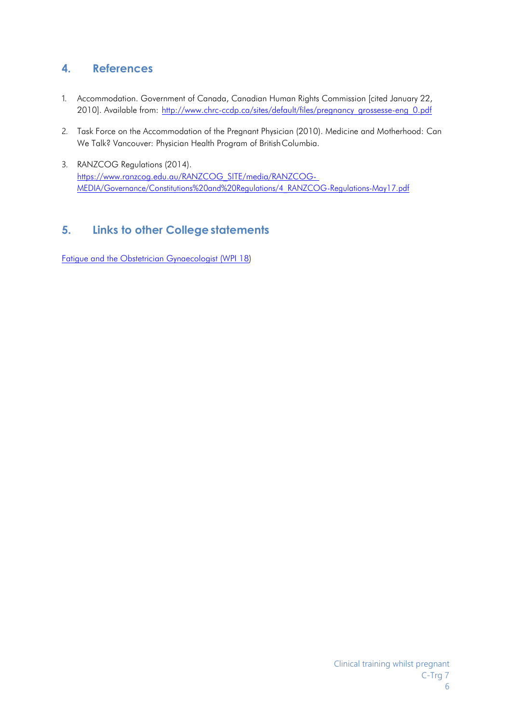## <span id="page-5-0"></span>**4. References**

- 1. Accommodation. Government of Canada, Canadian Human Rights Commission [cited January 22, 2010]. Available from: [http://www.chrc-ccdp.ca/sites/default/files/pregnancy\\_grossesse-eng\\_0.pdf](http://www.chrc-ccdp.ca/sites/default/files/pregnancy_grossesse-eng_0.pdf)
- 2. Task Force on the Accommodation of the Pregnant Physician (2010). Medicine and Motherhood: Can We Talk? Vancouver: Physician Health Program of BritishColumbia.
- 3. RANZCOG Regulations (2014). [https://www.ranzcog.edu.au/RANZCOG\\_SITE/media/RANZCOG-](https://www.ranzcog.edu.au/RANZCOG_SITE/media/RANZCOG-MEDIA/Governance/Constitutions%20and%20Regulations/4_RANZCOG-Regulations-May17.pdf)[MEDIA/Governance/Constitutions%20and%20Regulations/4\\_RANZCOG-Regulations-May17.pdf](https://www.ranzcog.edu.au/RANZCOG_SITE/media/RANZCOG-MEDIA/Governance/Constitutions%20and%20Regulations/4_RANZCOG-Regulations-May17.pdf)

## <span id="page-5-1"></span>**5. Links to other College statements**

[Fatigue and the Obstetrician Gynaecologist \(WPI 18\)](https://www.ranzcog.edu.au/RANZCOG_SITE/media/RANZCOG-%20MEDIA/Women%27s%20Health/Statement%20and%20guidelines/Workforce%20and%20Practice%20Issu%20es/Fatigue-and-the-Obstetrician-Gynaecologist-(WPI-18)-Review-November-2015.pdf?ext=.pdf)